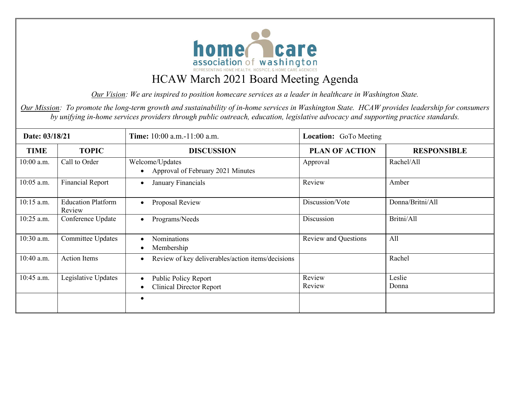

# HCAW March 2021 Board Meeting Agenda

*Our Vision: We are inspired to position homecare services as a leader in healthcare in Washington State.* 

*Our Mission: To promote the long-term growth and sustainability of in-home services in Washington State. HCAW provides leadership for consumers by unifying in-home services providers through public outreach, education, legislative advocacy and supporting practice standards.*

| Date: 03/18/21 |                                     | Time: 10:00 a.m.-11:00 a.m.                                    | <b>Location:</b> GoTo Meeting |                    |  |
|----------------|-------------------------------------|----------------------------------------------------------------|-------------------------------|--------------------|--|
| <b>TIME</b>    | <b>TOPIC</b>                        | <b>DISCUSSION</b>                                              | <b>PLAN OF ACTION</b>         | <b>RESPONSIBLE</b> |  |
| 10:00 a.m.     | Call to Order                       | Welcome/Updates<br>Approval of February 2021 Minutes           | Approval                      | Rachel/All         |  |
| 10:05 a.m.     | <b>Financial Report</b>             | January Financials<br>$\bullet$                                | Review                        | Amber              |  |
| 10:15 a.m.     | <b>Education Platform</b><br>Review | Proposal Review<br>$\bullet$                                   | Discussion/Vote               | Donna/Britni/All   |  |
| 10:25 a.m.     | Conference Update                   | Programs/Needs<br>$\bullet$                                    | Discussion                    | Britni/All         |  |
| 10:30 a.m.     | <b>Committee Updates</b>            | <b>Nominations</b><br>Membership                               | <b>Review and Questions</b>   | All                |  |
| 10:40 a.m.     | <b>Action Items</b>                 | Review of key deliverables/action items/decisions<br>$\bullet$ |                               | Rachel             |  |
| 10:45 a.m.     | Legislative Updates                 | Public Policy Report<br>$\bullet$                              | Review                        | Leslie             |  |
|                |                                     | <b>Clinical Director Report</b>                                | Review                        | Donna              |  |
|                |                                     |                                                                |                               |                    |  |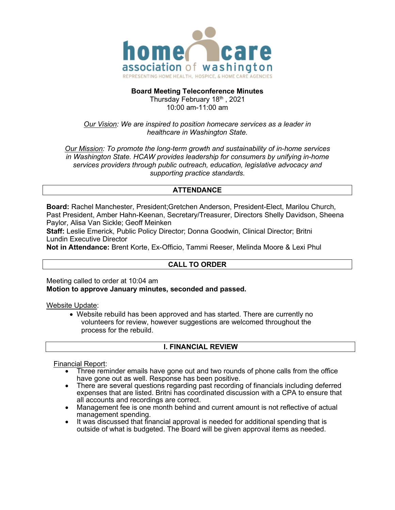

#### **Board Meeting Teleconference Minutes**

Thursday February 18th, 2021 10:00 am-11:00 am

#### *Our Vision:* We are inspired to position homecare services as a leader in *healthcare in Washington State.*

*Our Mission: To promote the long-term growth and sustainability of in-home services in Washington State. HCAW provides leadership for consumers by unifying in-home services providers through public outreach, education, legislative advocacy and supporting practice standards.*

## **ATTENDANCE**

**Board:** Rachel Manchester, President;Gretchen Anderson, President-Elect, Marilou Church, Past President, Amber Hahn-Keenan, Secretary/Treasurer, Directors Shelly Davidson, Sheena Paylor, Alisa Van Sickle; Geoff Meinken

**Staff:** Leslie Emerick, Public Policy Director; Donna Goodwin, Clinical Director; Britni Lundin Executive Director

**Not in Attendance:** Brent Korte, Ex-Officio, Tammi Reeser, Melinda Moore & Lexi Phul

## **CALL TO ORDER**

Meeting called to order at 10:04 am **Motion to approve January minutes, seconded and passed.**

Website Update:

• Website rebuild has been approved and has started. There are currently no volunteers for review, however suggestions are welcomed throughout the process for the rebuild.

### **I. FINANCIAL REVIEW**

#### Financial Report:

- Three reminder emails have gone out and two rounds of phone calls from the office have gone out as well. Response has been positive.
- There are several questions regarding past recording of financials including deferred expenses that are listed. Britni has coordinated discussion with a CPA to ensure that all accounts and recordings are correct.
- Management fee is one month behind and current amount is not reflective of actual management spending.
- It was discussed that financial approval is needed for additional spending that is outside of what is budgeted. The Board will be given approval items as needed.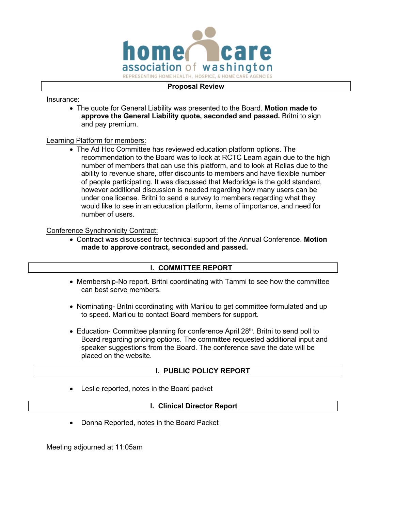

#### **Proposal Review**

Insurance:

• The quote for General Liability was presented to the Board. **Motion made to approve the General Liability quote, seconded and passed.** Britni to sign and pay premium.

#### Learning Platform for members:

• The Ad Hoc Committee has reviewed education platform options. The recommendation to the Board was to look at RCTC Learn again due to the high number of members that can use this platform, and to look at Relias due to the ability to revenue share, offer discounts to members and have flexible number of people participating. It was discussed that Medbridge is the gold standard, however additional discussion is needed regarding how many users can be under one license. Britni to send a survey to members regarding what they would like to see in an education platform, items of importance, and need for number of users.

#### Conference Synchronicity Contract:

• Contract was discussed for technical support of the Annual Conference. **Motion made to approve contract, seconded and passed.**

### **l. COMMITTEE REPORT**

- Membership-No report. Britni coordinating with Tammi to see how the committee can best serve members.
- Nominating- Britni coordinating with Marilou to get committee formulated and up to speed. Marilou to contact Board members for support.
- Education- Committee planning for conference April 28<sup>th</sup>. Britni to send poll to Board regarding pricing options. The committee requested additional input and speaker suggestions from the Board. The conference save the date will be placed on the website.

### **l. PUBLIC POLICY REPORT**

• Leslie reported, notes in the Board packet

#### **l. Clinical Director Report**

• Donna Reported, notes in the Board Packet

Meeting adjourned at 11:05am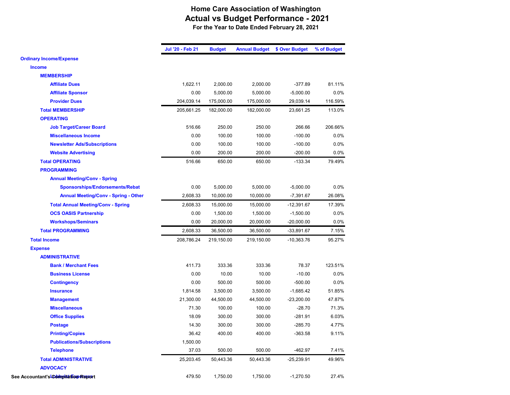## **Home Care Association of Washington Actual vs Budget Performance - 2021 For the Year to Date Ended February 28, 2021**

|                                             | Jul '20 - Feb 21 | <b>Budget</b> | <b>Annual Budget</b> | \$ Over Budget | % of Budget |
|---------------------------------------------|------------------|---------------|----------------------|----------------|-------------|
| <b>Ordinary Income/Expense</b>              |                  |               |                      |                |             |
| <b>Income</b>                               |                  |               |                      |                |             |
| <b>MEMBERSHIP</b>                           |                  |               |                      |                |             |
| <b>Affiliate Dues</b>                       | 1,622.11         | 2,000.00      | 2,000.00             | $-377.89$      | 81.11%      |
| <b>Affiliate Sponsor</b>                    | 0.00             | 5,000.00      | 5,000.00             | $-5,000.00$    | 0.0%        |
| <b>Provider Dues</b>                        | 204,039.14       | 175,000.00    | 175,000.00           | 29,039.14      | 116.59%     |
| <b>Total MEMBERSHIP</b>                     | 205,661.25       | 182,000.00    | 182,000.00           | 23,661.25      | 113.0%      |
| <b>OPERATING</b>                            |                  |               |                      |                |             |
| <b>Job Target/Career Board</b>              | 516.66           | 250.00        | 250.00               | 266.66         | 206.66%     |
| <b>Miscellaneous Income</b>                 | 0.00             | 100.00        | 100.00               | $-100.00$      | 0.0%        |
| <b>Newsletter Ads/Subscriptions</b>         | 0.00             | 100.00        | 100.00               | $-100.00$      | 0.0%        |
| <b>Website Advertising</b>                  | 0.00             | 200.00        | 200.00               | $-200.00$      | 0.0%        |
| <b>Total OPERATING</b>                      | 516.66           | 650.00        | 650.00               | $-133.34$      | 79.49%      |
| <b>PROGRAMMING</b>                          |                  |               |                      |                |             |
| <b>Annual Meeting/Conv - Spring</b>         |                  |               |                      |                |             |
| Sponsorships/Endorsements/Rebat             | 0.00             | 5,000.00      | 5,000.00             | $-5,000.00$    | 0.0%        |
| <b>Annual Meeting/Conv - Spring - Other</b> | 2,608.33         | 10,000.00     | 10,000.00            | $-7,391.67$    | 26.08%      |
| <b>Total Annual Meeting/Conv - Spring</b>   | 2,608.33         | 15,000.00     | 15,000.00            | $-12,391.67$   | 17.39%      |
| <b>OCS OASIS Partnership</b>                | 0.00             | 1,500.00      | 1,500.00             | $-1,500.00$    | 0.0%        |
| <b>Workshops/Seminars</b>                   | 0.00             | 20,000.00     | 20,000.00            | $-20,000.00$   | 0.0%        |
| <b>Total PROGRAMMING</b>                    | 2,608.33         | 36,500.00     | 36,500.00            | $-33,891.67$   | 7.15%       |
| <b>Total Income</b>                         | 208,786.24       | 219,150.00    | 219,150.00           | $-10,363.76$   | 95.27%      |
| <b>Expense</b>                              |                  |               |                      |                |             |
| <b>ADMINISTRATIVE</b>                       |                  |               |                      |                |             |
| <b>Bank / Merchant Fees</b>                 | 411.73           | 333.36        | 333.36               | 78.37          | 123.51%     |
| <b>Business License</b>                     | 0.00             | 10.00         | 10.00                | $-10.00$       | 0.0%        |
| <b>Contingency</b>                          | 0.00             | 500.00        | 500.00               | $-500.00$      | 0.0%        |
| <b>Insurance</b>                            | 1,814.58         | 3,500.00      | 3,500.00             | $-1,685.42$    | 51.85%      |
| <b>Management</b>                           | 21,300.00        | 44,500.00     | 44,500.00            | $-23,200.00$   | 47.87%      |
| <b>Miscellaneous</b>                        | 71.30            | 100.00        | 100.00               | $-28.70$       | 71.3%       |
| <b>Office Supplies</b>                      | 18.09            | 300.00        | 300.00               | $-281.91$      | 6.03%       |
| <b>Postage</b>                              | 14.30            | 300.00        | 300.00               | $-285.70$      | 4.77%       |
| <b>Printing/Copies</b>                      | 36.42            | 400.00        | 400.00               | $-363.58$      | 9.11%       |
| <b>Publications/Subscriptions</b>           | 1,500.00         |               |                      |                |             |
| <b>Telephone</b>                            | 37.03            | 500.00        | 500.00               | $-462.97$      | 7.41%       |
| <b>Total ADMINISTRATIVE</b>                 | 25,203.45        | 50,443.36     | 50,443.36            | $-25,239.91$   | 49.96%      |
| <b>ADVOCACY</b>                             |                  |               |                      |                |             |
| See Accountant's Commisation Researt        | 479.50           | 1,750.00      | 1,750.00             | $-1,270.50$    | 27.4%       |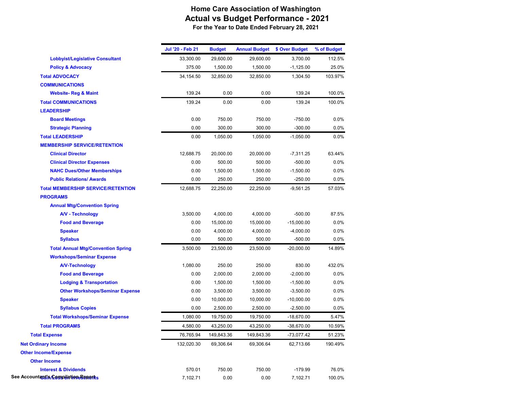## **Home Care Association of Washington Actual vs Budget Performance - 2021 For the Year to Date Ended February 28, 2021**

|                                           | Jul '20 - Feb 21 | <b>Budget</b> | <b>Annual Budget</b> | \$ Over Budget | % of Budget |
|-------------------------------------------|------------------|---------------|----------------------|----------------|-------------|
| <b>Lobbyist/Legislative Consultant</b>    | 33,300.00        | 29,600.00     | 29,600.00            | 3,700.00       | 112.5%      |
| <b>Policy &amp; Advocacy</b>              | 375.00           | 1,500.00      | 1,500.00             | $-1,125.00$    | 25.0%       |
| <b>Total ADVOCACY</b>                     | 34,154.50        | 32,850.00     | 32,850.00            | 1,304.50       | 103.97%     |
| <b>COMMUNICATIONS</b>                     |                  |               |                      |                |             |
| <b>Website-Reg &amp; Maint</b>            | 139.24           | 0.00          | 0.00                 | 139.24         | 100.0%      |
| <b>Total COMMUNICATIONS</b>               | 139.24           | 0.00          | 0.00                 | 139.24         | 100.0%      |
| <b>LEADERSHIP</b>                         |                  |               |                      |                |             |
| <b>Board Meetings</b>                     | 0.00             | 750.00        | 750.00               | $-750.00$      | 0.0%        |
| <b>Strategic Planning</b>                 | 0.00             | 300.00        | 300.00               | $-300.00$      | 0.0%        |
| <b>Total LEADERSHIP</b>                   | 0.00             | 1,050.00      | 1,050.00             | $-1,050.00$    | 0.0%        |
| <b>MEMBERSHIP SERVICE/RETENTION</b>       |                  |               |                      |                |             |
| <b>Clinical Director</b>                  | 12,688.75        | 20,000.00     | 20,000.00            | $-7,311.25$    | 63.44%      |
| <b>Clinical Director Expenses</b>         | 0.00             | 500.00        | 500.00               | $-500.00$      | 0.0%        |
| <b>NAHC Dues/Other Memberships</b>        | 0.00             | 1,500.00      | 1,500.00             | $-1,500.00$    | 0.0%        |
| <b>Public Relations/ Awards</b>           | 0.00             | 250.00        | 250.00               | $-250.00$      | 0.0%        |
| <b>Total MEMBERSHIP SERVICE/RETENTION</b> | 12,688.75        | 22,250.00     | 22,250.00            | $-9,561.25$    | 57.03%      |
| <b>PROGRAMS</b>                           |                  |               |                      |                |             |
| <b>Annual Mtg/Convention Spring</b>       |                  |               |                      |                |             |
| <b>A/V - Technology</b>                   | 3,500.00         | 4,000.00      | 4,000.00             | $-500.00$      | 87.5%       |
| <b>Food and Beverage</b>                  | 0.00             | 15,000.00     | 15,000.00            | $-15,000.00$   | 0.0%        |
| <b>Speaker</b>                            | 0.00             | 4,000.00      | 4,000.00             | $-4,000.00$    | 0.0%        |
| <b>Syllabus</b>                           | 0.00             | 500.00        | 500.00               | $-500.00$      | 0.0%        |
| <b>Total Annual Mtg/Convention Spring</b> | 3,500.00         | 23,500.00     | 23,500.00            | $-20,000.00$   | 14.89%      |
| <b>Workshops/Seminar Expense</b>          |                  |               |                      |                |             |
| <b>A/V-Technology</b>                     | 1,080.00         | 250.00        | 250.00               | 830.00         | 432.0%      |
| <b>Food and Beverage</b>                  | 0.00             | 2,000.00      | 2,000.00             | $-2,000.00$    | 0.0%        |
| <b>Lodging &amp; Transportation</b>       | 0.00             | 1,500.00      | 1,500.00             | $-1,500.00$    | 0.0%        |
| <b>Other Workshops/Seminar Expense</b>    | 0.00             | 3,500.00      | 3,500.00             | $-3,500.00$    | 0.0%        |
| <b>Speaker</b>                            | 0.00             | 10,000.00     | 10,000.00            | $-10,000.00$   | 0.0%        |
| <b>Syllabus Copies</b>                    | 0.00             | 2,500.00      | 2,500.00             | $-2,500.00$    | 0.0%        |
| <b>Total Workshops/Seminar Expense</b>    | 1,080.00         | 19,750.00     | 19,750.00            | $-18,670.00$   | 5.47%       |
| <b>Total PROGRAMS</b>                     | 4,580.00         | 43,250.00     | 43,250.00            | $-38,670.00$   | 10.59%      |
| <b>Total Expense</b>                      | 76,765.94        | 149,843.36    | 149,843.36           | $-73,077.42$   | 51.23%      |
| <b>Net Ordinary Income</b>                | 132,020.30       | 69,306.64     | 69.306.64            | 62,713.66      | 190.49%     |
| <b>Other Income/Expense</b>               |                  |               |                      |                |             |
| <b>Other Income</b>                       |                  |               |                      |                |             |
| <b>Interest &amp; Dividends</b>           | 570.01           | 750.00        | 750.00               | $-179.99$      | 76.0%       |
| See Accountant & Campulation Benefits     | 7,102.71         | 0.00          | 0.00                 | 7,102.71       | 100.0%      |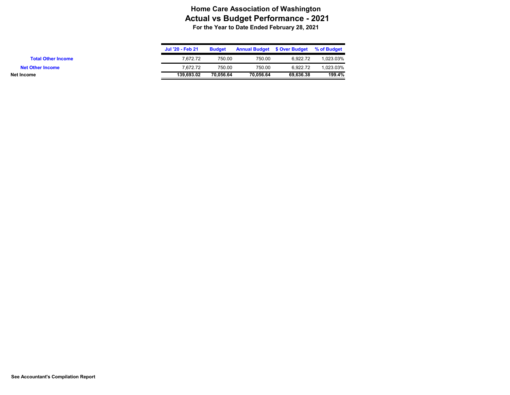## **Home Care Association of Washington Actual vs Budget Performance - 2021 For the Year to Date Ended February 28, 2021**

|                           | Jul '20 - Feb 21 | Budget    | <b>Annual Budget \$ Over Budget</b> |           | % of Budget |
|---------------------------|------------------|-----------|-------------------------------------|-----------|-------------|
| <b>Total Other Income</b> | 7.672.72         | 750.00    | 750.00                              | 6.922.72  | 1.023.03%   |
| <b>Net Other Income</b>   | 7.672.72         | 750.00    | 750.00                              | 6.922.72  | 1.023.03%   |
| Net Income                | 139.693.02       | 70.056.64 | 70.056.64                           | 69.636.38 | 199.4%      |
|                           |                  |           |                                     |           |             |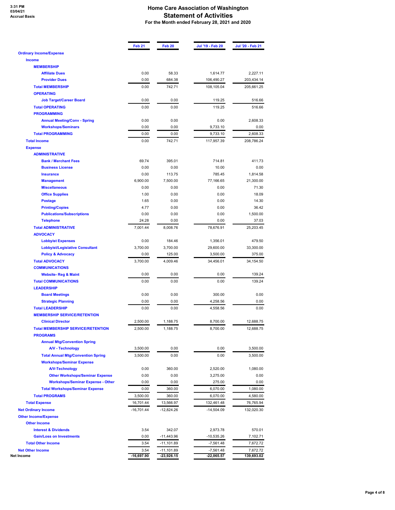# **3:31 PM 03/04/21 Accrual Basis**

#### **Home Care Association of Washington Statement of Activities For the Month ended February 28, 2021 and 2020**

|                                             | Feb 21       | Feb <sub>20</sub> | Jul '19 - Feb 20 | Jul '20 - Feb 21 |
|---------------------------------------------|--------------|-------------------|------------------|------------------|
| <b>Ordinary Income/Expense</b>              |              |                   |                  |                  |
| <b>Income</b>                               |              |                   |                  |                  |
| <b>MEMBERSHIP</b>                           |              |                   |                  |                  |
| <b>Affiliate Dues</b>                       | 0.00         | 58.33             | 1,614.77         | 2,227.11         |
| <b>Provider Dues</b>                        | 0.00         | 684.38            | 106,490.27       | 203,434.14       |
| <b>Total MEMBERSHIP</b><br><b>OPERATING</b> | 0.00         | 742.71            | 108,105.04       | 205,661.25       |
| <b>Job Target/Career Board</b>              | 0.00         | 0.00              | 119.25           | 516.66           |
| <b>Total OPERATING</b>                      | 0.00         | 0.00              | 119.25           | 516.66           |
| <b>PROGRAMMING</b>                          |              |                   |                  |                  |
| <b>Annual Meeting/Conv - Spring</b>         | 0.00         | 0.00              | 0.00             | 2,608.33         |
| <b>Workshops/Seminars</b>                   | 0.00         | 0.00              | 9,733.10         | 0.00             |
| <b>Total PROGRAMMING</b>                    | 0.00         | 0.00              | 9,733.10         | 2,608.33         |
| <b>Total Income</b>                         | 0.00         | 742.71            | 117,957.39       | 208,786.24       |
| <b>Expense</b>                              |              |                   |                  |                  |
| <b>ADMINISTRATIVE</b>                       |              |                   |                  |                  |
| <b>Bank / Merchant Fees</b>                 | 69.74        | 395.01            | 714.81           | 411.73           |
| <b>Business License</b>                     | 0.00         | 0.00              | 10.00            | 0.00             |
| <b>Insurance</b>                            | 0.00         | 113.75            | 785.45           | 1,814.58         |
| <b>Management</b>                           | 6.900.00     | 7,500.00          | 77,166.65        | 21,300.00        |
| <b>Miscellaneous</b>                        | 0.00         | 0.00              | 0.00             | 71.30            |
| <b>Office Supplies</b>                      | 1.00         | 0.00              | 0.00             | 18.09            |
| <b>Postage</b>                              | 1.65         | 0.00              | 0.00             | 14.30            |
| <b>Printing/Copies</b>                      | 4.77         | 0.00              | 0.00             | 36.42            |
| <b>Publications/Subscriptions</b>           | 0.00         | 0.00              | 0.00             | 1,500.00         |
| <b>Telephone</b>                            | 24.28        | 0.00              | 0.00             | 37.03            |
| <b>Total ADMINISTRATIVE</b>                 | 7,001.44     | 8,008.76          | 78,676.91        | 25,203.45        |
| <b>ADVOCACY</b>                             |              |                   |                  |                  |
| <b>Lobbyist Expenses</b>                    | 0.00         | 184.46            | 1,356.01         | 479.50           |
| <b>Lobbyist/Legislative Consultant</b>      | 3,700.00     | 3,700.00          | 29,600.00        | 33,300.00        |
| <b>Policy &amp; Advocacy</b>                | 0.00         | 125.00            | 3,500.00         | 375.00           |
| <b>Total ADVOCACY</b>                       | 3,700.00     | 4,009.46          | 34,456.01        | 34,154.50        |
| <b>COMMUNICATIONS</b>                       |              |                   |                  |                  |
| <b>Website-Reg &amp; Maint</b>              | 0.00         | 0.00              | 0.00             | 139.24           |
| <b>Total COMMUNICATIONS</b>                 | 0.00         | 0.00              | 0.00             | 139.24           |
| <b>LEADERSHIP</b>                           |              |                   |                  |                  |
| <b>Board Meetings</b>                       | 0.00         | 0.00              | 300.00           | 0.00             |
| <b>Strategic Planning</b>                   | 0.00         | 0.00              | 4,258.56         | 0.00             |
| <b>Total LEADERSHIP</b>                     | 0.00         | 0.00              | 4,558.56         | 0.00             |
| <b>MEMBERSHIP SERVICE/RETENTION</b>         |              |                   |                  |                  |
| <b>Clinical Director</b>                    | 2,500.00     | 1,188.75          | 8,700.00         | 12,688.75        |
| <b>Total MEMBERSHIP SERVICE/RETENTION</b>   | 2,500.00     | 1,188.75          | 8,700.00         | 12,688.75        |
| <b>PROGRAMS</b>                             |              |                   |                  |                  |
| <b>Annual Mtg/Convention Spring</b>         |              |                   |                  |                  |
| <b>A/V - Technology</b>                     | 3,500.00     | 0.00              | 0.00             | 3,500.00         |
| <b>Total Annual Mtg/Convention Spring</b>   | 3,500.00     | 0.00              | 0.00             | 3,500.00         |
| <b>Workshops/Seminar Expense</b>            |              |                   |                  |                  |
| <b>A/V-Technology</b>                       | 0.00         | 360.00            | 2,520.00         | 1,080.00         |
| <b>Other Workshops/Seminar Expense</b>      | 0.00         | 0.00              | 3,275.00         | 0.00             |
| <b>Workshops/Seminar Expense - Other</b>    | 0.00         | 0.00              | 275.00           | 0.00             |
| <b>Total Workshops/Seminar Expense</b>      | 0.00         | 360.00            | 6,070.00         | 1,080.00         |
| <b>Total PROGRAMS</b>                       | 3,500.00     | 360.00            | 6,070.00         | 4,580.00         |
| <b>Total Expense</b>                        | 16,701.44    | 13,566.97         | 132,461.48       | 76,765.94        |
| <b>Net Ordinary Income</b>                  | $-16,701.44$ | $-12,824.26$      | $-14,504.09$     | 132,020.30       |
| <b>Other Income/Expense</b>                 |              |                   |                  |                  |
| <b>Other Income</b>                         |              |                   |                  |                  |
| <b>Interest &amp; Dividends</b>             | 3.54         | 342.07            | 2,973.78         | 570.01           |
| <b>Gain/Loss on Investments</b>             | 0.00         | -11,443.96        | $-10,535.26$     | 7,102.71         |
| <b>Total Other Income</b>                   | 3.54         | $-11,101.89$      | $-7,561.48$      | 7,672.72         |
| <b>Net Other Income</b>                     | 3.54         | $-11,101.89$      | $-7,561.48$      | 7,672.72         |
| Net Income                                  | $-16,697.90$ | $-23,926.15$      | $-22,065.57$     | 139,693.02       |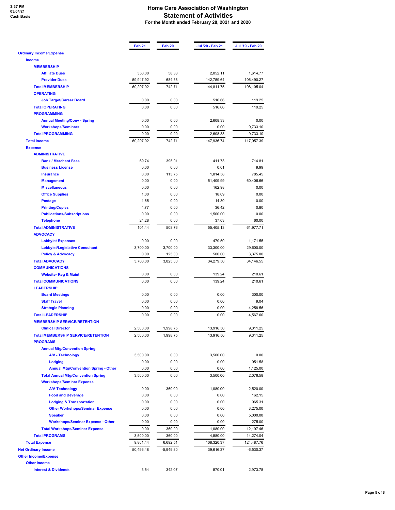**3:37 PM 03/04/21 Cash Basis**

#### **Home Care Association of Washington Statement of Activities For the Month ended February 28, 2021 and 2020**

|                                             | Feb <sub>21</sub> | Feb <sub>20</sub> | Jul '20 - Feb 21 | Jul '19 - Feb 20 |
|---------------------------------------------|-------------------|-------------------|------------------|------------------|
| <b>Ordinary Income/Expense</b>              |                   |                   |                  |                  |
| <b>Income</b>                               |                   |                   |                  |                  |
| <b>MEMBERSHIP</b>                           |                   |                   |                  |                  |
| <b>Affiliate Dues</b>                       | 350.00            | 58.33             | 2,052.11         | 1,614.77         |
| <b>Provider Dues</b>                        | 59,947.92         | 684.38            | 142,759.64       | 106,490.27       |
| <b>Total MEMBERSHIP</b>                     | 60,297.92         | 742.71            | 144,811.75       | 108,105.04       |
| <b>OPERATING</b>                            |                   |                   |                  |                  |
| <b>Job Target/Career Board</b>              | 0.00              | 0.00              | 516.66           | 119.25           |
| <b>Total OPERATING</b>                      | 0.00              | 0.00              | 516.66           | 119.25           |
| <b>PROGRAMMING</b>                          |                   |                   |                  |                  |
| <b>Annual Meeting/Conv - Spring</b>         | 0.00              | 0.00              | 2,608.33         | 0.00             |
| <b>Workshops/Seminars</b>                   | 0.00              | 0.00              | 0.00             | 9,733.10         |
| <b>Total PROGRAMMING</b>                    | 0.00              | 0.00              | 2,608.33         | 9,733.10         |
| <b>Total Income</b>                         | 60,297.92         | 742.71            | 147,936.74       | 117,957.39       |
| <b>Expense</b>                              |                   |                   |                  |                  |
| <b>ADMINISTRATIVE</b>                       |                   |                   |                  |                  |
| <b>Bank / Merchant Fees</b>                 | 69.74             | 395.01            | 411.73           | 714.81           |
| <b>Business License</b>                     | 0.00              | 0.00              | 0.01             | 9.99             |
| <b>Insurance</b>                            | 0.00              | 113.75            | 1,814.58         | 785.45           |
| <b>Management</b>                           | 0.00              | 0.00              | 51,409.99        | 60,406.66        |
| <b>Miscellaneous</b>                        | 0.00              | 0.00              | 162.98           | 0.00             |
| <b>Office Supplies</b>                      | 1.00              | 0.00              | 18.09            | 0.00             |
| <b>Postage</b>                              | 1.65              | 0.00              | 14.30            | 0.00             |
|                                             | 4.77              | 0.00              |                  |                  |
| <b>Printing/Copies</b>                      |                   |                   | 36.42            | 0.80             |
| <b>Publications/Subscriptions</b>           | 0.00              | 0.00              | 1,500.00         | 0.00             |
| <b>Telephone</b>                            | 24.28             | 0.00              | 37.03            | 60.00            |
| <b>Total ADMINISTRATIVE</b>                 | 101.44            | 508.76            | 55,405.13        | 61,977.71        |
| <b>ADVOCACY</b>                             |                   |                   |                  |                  |
| <b>Lobbyist Expenses</b>                    | 0.00              | 0.00              | 479.50           | 1,171.55         |
| <b>Lobbyist/Legislative Consultant</b>      | 3,700.00          | 3,700.00          | 33,300.00        | 29,600.00        |
| <b>Policy &amp; Advocacy</b>                | 0.00              | 125.00            | 500.00           | 3,375.00         |
| <b>Total ADVOCACY</b>                       | 3,700.00          | 3,825.00          | 34,279.50        | 34,146.55        |
| <b>COMMUNICATIONS</b>                       |                   |                   |                  |                  |
| <b>Website-Reg &amp; Maint</b>              | 0.00              | 0.00              | 139.24           | 210.61           |
| <b>Total COMMUNICATIONS</b>                 | 0.00              | 0.00              | 139.24           | 210.61           |
| <b>LEADERSHIP</b>                           |                   |                   |                  |                  |
| <b>Board Meetings</b>                       | 0.00              | 0.00              | 0.00             | 300.00           |
| <b>Staff Travel</b>                         | 0.00              | 0.00              | 0.00             | 9.04             |
| <b>Strategic Planning</b>                   | 0.00              | 0.00              | 0.00             | 4,258.56         |
| <b>Total LEADERSHIP</b>                     | 0.00              | 0.00              | 0.00             | 4,567.60         |
| <b>MEMBERSHIP SERVICE/RETENTION</b>         |                   |                   |                  |                  |
| <b>Clinical Director</b>                    | 2.500.00          | 1.998.75          | 13.916.50        | 9.311.25         |
| <b>Total MEMBERSHIP SERVICE/RETENTION</b>   | 2,500.00          | 1,998.75          | 13,916.50        | 9,311.25         |
| <b>PROGRAMS</b>                             |                   |                   |                  |                  |
| <b>Annual Mtg/Convention Spring</b>         |                   |                   |                  |                  |
| <b>A/V - Technology</b>                     | 3,500.00          | 0.00              | 3,500.00         | 0.00             |
| <b>Lodging</b>                              | 0.00              | 0.00              | 0.00             | 951.58           |
| <b>Annual Mtg/Convention Spring - Other</b> | 0.00              | 0.00              | 0.00             | 1,125.00         |
| <b>Total Annual Mtg/Convention Spring</b>   | 3,500.00          | 0.00              | 3,500.00         | 2,076.58         |
| <b>Workshops/Seminar Expense</b>            |                   |                   |                  |                  |
| <b>A/V-Technology</b>                       | 0.00              | 360.00            | 1,080.00         | 2,520.00         |
|                                             | 0.00              | 0.00              | 0.00             | 162.15           |
| <b>Food and Beverage</b>                    |                   |                   |                  |                  |
| <b>Lodging &amp; Transportation</b>         | 0.00              | 0.00              | 0.00             | 965.31           |
| <b>Other Workshops/Seminar Expense</b>      | 0.00              | 0.00              | 0.00             | 3,275.00         |
| <b>Speaker</b>                              | 0.00              | 0.00              | 0.00             | 5,000.00         |
| <b>Workshops/Seminar Expense - Other</b>    | 0.00              | 0.00              | 0.00             | 275.00           |
| <b>Total Workshops/Seminar Expense</b>      | 0.00              | 360.00            | 1,080.00         | 12,197.46        |
| <b>Total PROGRAMS</b>                       | 3,500.00          | 360.00            | 4,580.00         | 14,274.04        |
| <b>Total Expense</b>                        | 9,801.44          | 6,692.51          | 108,320.37       | 124,487.76       |
| <b>Net Ordinary Income</b>                  | 50,496.48         | $-5,949.80$       | 39,616.37        | $-6,530.37$      |
| <b>Other Income/Expense</b>                 |                   |                   |                  |                  |
| <b>Other Income</b>                         |                   |                   |                  |                  |
| <b>Interest &amp; Dividends</b>             | 3.54              | 342.07            | 570.01           | 2,973.78         |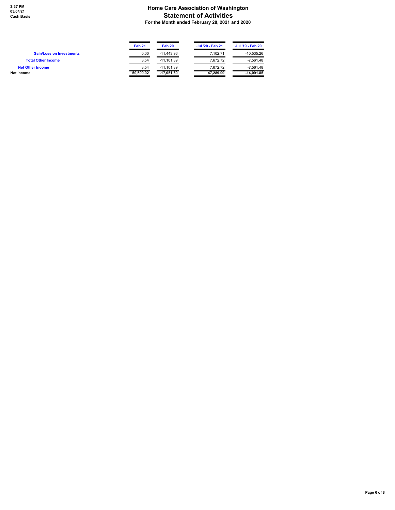#### **Home Care Association of Washington Statement of Activities For the Month ended February 28, 2021 and 2020**

 $\blacksquare$ 

Ñ,

|                                 | <b>Feb 21</b> | Feb 20     | Jul '20 - Feb 21 | Jul '19 - Feb 20 |
|---------------------------------|---------------|------------|------------------|------------------|
| <b>Gain/Loss on Investments</b> | 0.00          | -11.443.96 | 7.102.71         | $-10.535.26$     |
| <b>Total Other Income</b>       | 3.54          | -11.101.89 | 7.672.72         | $-7.561.48$      |
| <b>Net Other Income</b>         | 3.54          | -11.101.89 | 7.672.72         | $-7.561.48$      |
| Net Income                      | 50,500.02     | -17.051.69 | 47.289.09        | $-14.091.85$     |

×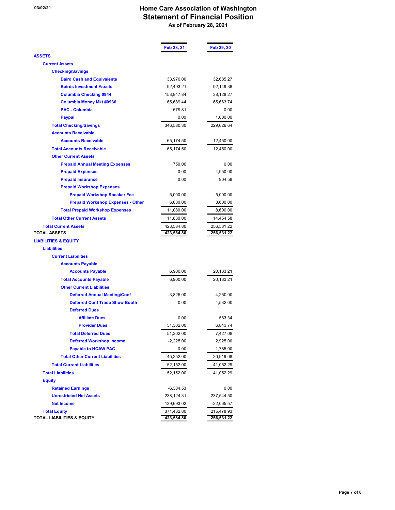## **03/02/21 Home Care Association of Washington Statement of Financial Position As of February 28, 2021**

 $\sim$ 

 $\overline{\phantom{a}}$ 

 $\mathbb{R}$ 

 $\overline{a}$ 

|                                                               | Feb 28, 21               | Feb 29, 20           |
|---------------------------------------------------------------|--------------------------|----------------------|
| <b>ASSETS</b>                                                 |                          |                      |
| <b>Current Assets</b>                                         |                          |                      |
| <b>Checking/Savings</b>                                       |                          |                      |
| <b>Baird Cash and Equivalents</b>                             | 33,970.00                | 32,685.27            |
| <b>Bairds Investment Assets</b>                               | 92,493.21                | 92,149.36            |
| <b>Columbia Checking 0944</b>                                 | 153,847.84               | 38,128.27            |
| <b>Columbia Money Mkt #0936</b>                               | 65,689.44                | 65,663.74            |
| <b>PAC - Columbia</b>                                         | 579.81                   | 0.00                 |
| <b>Paypal</b>                                                 | 0.00                     | 1,000.00             |
| <b>Total Checking/Savings</b>                                 | 346,580.30               | 229,626.64           |
| <b>Accounts Receivable</b>                                    |                          |                      |
| <b>Accounts Receivable</b>                                    | 65,174.50                | 12,450.00            |
| <b>Total Accounts Receivable</b>                              | 65,174.50                | 12,450.00            |
| <b>Other Current Assets</b>                                   |                          |                      |
| <b>Prepaid Annual Meeting Expenses</b>                        | 750.00                   | 0.00                 |
| <b>Prepaid Expenses</b>                                       | 0.00                     | 4,950.00             |
| <b>Prepaid Insurance</b>                                      | 0.00                     | 904.58               |
| <b>Prepaid Workshop Expenses</b>                              |                          |                      |
| <b>Prepaid Workshop Speaker Fee</b>                           | 5,000.00                 | 5,000.00             |
| <b>Prepaid Workshop Expenses - Other</b>                      | 6,080.00                 | 3,600.00             |
| <b>Total Prepaid Workshop Expenses</b>                        | 11,080.00                | 8,600.00             |
| <b>Total Other Current Assets</b>                             | 11,830.00                | 14,454.58            |
| <b>Total Current Assets</b>                                   | 423,584.80               | 256,531.22           |
| <b>TOTAL ASSETS</b>                                           | 423,584.80               | 256,531.22           |
| <b>LIABILITIES &amp; EQUITY</b>                               |                          |                      |
| <b>Liabilities</b>                                            |                          |                      |
| <b>Current Liabilities</b>                                    |                          |                      |
| <b>Accounts Payable</b>                                       |                          |                      |
| <b>Accounts Payable</b>                                       | 6,900.00                 | 20,133.21            |
| <b>Total Accounts Payable</b>                                 | 6,900.00                 | 20,133.21            |
| <b>Other Current Liabilities</b>                              |                          |                      |
| <b>Deferred Annual Meeting/Conf</b>                           | $-3,825.00$              | 4,250.00             |
| <b>Deferred Conf Trade Show Booth</b>                         | 0.00                     | 4,532.00             |
| <b>Deferred Dues</b><br><b>Affiliate Dues</b>                 | 0.00                     | 583.34               |
| <b>Provider Dues</b>                                          | 51,302.00                | 6,843.74             |
|                                                               |                          |                      |
| <b>Total Deferred Dues</b><br><b>Deferred Workshop Income</b> | 51,302.00<br>$-2,225.00$ | 7,427.08<br>2,925.00 |
| <b>Payable to HCAW PAC</b>                                    | 0.00                     | 1,785.00             |
| <b>Total Other Current Liabilities</b>                        | 45,252.00                | 20,919.08            |
| <b>Total Current Liabilities</b>                              |                          |                      |
|                                                               | 52,152.00                | 41,052.29            |
| <b>Total Liabilities</b>                                      | 52,152.00                | 41,052.29            |
| <b>Equity</b>                                                 |                          |                      |
| <b>Retained Earnings</b><br><b>Unrestricted Net Assets</b>    | -6,384.53<br>238,124.31  | 0.00<br>237,544.50   |
| <b>Net Income</b>                                             | 139,693.02               | $-22,065.57$         |
| <b>Total Equity</b>                                           | 371,432.80               | 215,478.93           |
| <b>TOTAL LIABILITIES &amp; EQUITY</b>                         | 423,584.80               | 256,531.22           |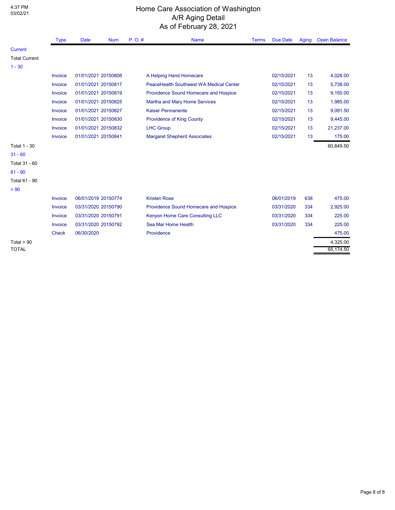4:37 PM

## Home Care Association of Washington A/R Aging Detail As of February 28, 2021

|                      | <b>Type</b>  | <b>Date</b>         | <b>Num</b> | P. O. # | <b>Name</b>                                    | <b>Terms</b> | <b>Due Date</b> | Aging | <b>Open Balance</b> |
|----------------------|--------------|---------------------|------------|---------|------------------------------------------------|--------------|-----------------|-------|---------------------|
| <b>Current</b>       |              |                     |            |         |                                                |              |                 |       |                     |
| <b>Total Current</b> |              |                     |            |         |                                                |              |                 |       |                     |
| $1 - 30$             |              |                     |            |         |                                                |              |                 |       |                     |
|                      | Invoice      | 01/01/2021 20150808 |            |         | A Helping Hand Homecare                        |              | 02/15/2021      | 13    | 4,028.00            |
|                      | Invoice      | 01/01/2021 20150817 |            |         | <b>PeaceHealth Southwest WA Medical Center</b> |              | 02/15/2021      | 13    | 5,738.00            |
|                      | Invoice      | 01/01/2021 20150819 |            |         | Providence Sound Homecare and Hospice          |              | 02/15/2021      | 13    | 9,150.00            |
|                      | Invoice      | 01/01/2021 20150825 |            |         | Martha and Mary Home Services                  |              | 02/15/2021      | 13    | 1,985.00            |
|                      | Invoice      | 01/01/2021 20150827 |            |         | <b>Kaiser Permanente</b>                       |              | 02/15/2021      | 13    | 9,091.50            |
|                      | Invoice      | 01/01/2021 20150830 |            |         | <b>Providence of King County</b>               |              | 02/15/2021      | 13    | 9,445.00            |
|                      | Invoice      | 01/01/2021 20150832 |            |         | <b>LHC Group</b>                               |              | 02/15/2021      | 13    | 21,237.00           |
|                      | Invoice      | 01/01/2021 20150841 |            |         | <b>Margaret Shepherd Associates</b>            |              | 02/15/2021      | 13    | 175.00              |
| <b>Total 1 - 30</b>  |              |                     |            |         |                                                |              |                 |       | 60,849.50           |
| $31 - 60$            |              |                     |            |         |                                                |              |                 |       |                     |
| Total 31 - 60        |              |                     |            |         |                                                |              |                 |       |                     |
| $61 - 90$            |              |                     |            |         |                                                |              |                 |       |                     |
| Total 61 - 90        |              |                     |            |         |                                                |              |                 |       |                     |
| > 90                 |              |                     |            |         |                                                |              |                 |       |                     |
|                      | Invoice      | 06/01/2019 20150774 |            |         | <b>Kristen Rose</b>                            |              | 06/01/2019      | 638   | 475.00              |
|                      | Invoice      | 03/31/2020 20150790 |            |         | Providence Sound Homecare and Hospice          |              | 03/31/2020      | 334   | 2,925.00            |
|                      | Invoice      | 03/31/2020 20150791 |            |         | Kenyon Home Care Consulting LLC                |              | 03/31/2020      | 334   | 225.00              |
|                      | Invoice      | 03/31/2020 20150792 |            |         | Sea Mar Home Health                            |              | 03/31/2020      | 334   | 225.00              |
|                      | <b>Check</b> | 06/30/2020          |            |         | Providence                                     |              |                 |       | 475.00              |
| Total $>90$          |              |                     |            |         |                                                |              |                 |       | 4,325.00            |
| <b>TOTAL</b>         |              |                     |            |         |                                                |              |                 |       | 65,174.50           |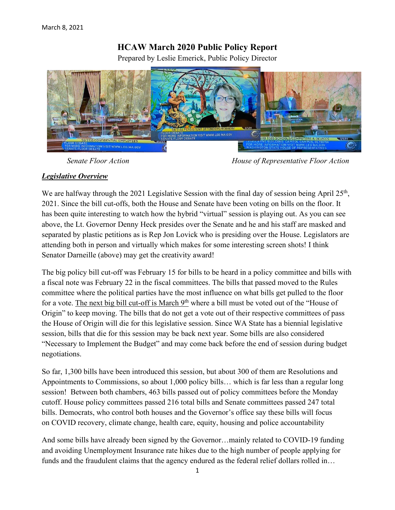# **HCAW March 2020 Public Policy Report**

Prepared by Leslie Emerick, Public Policy Director



 *Senate Floor Action House of Representative Floor Action*

## *Legislative Overview*

We are halfway through the 2021 Legislative Session with the final day of session being April  $25<sup>th</sup>$ , 2021. Since the bill cut-offs, both the House and Senate have been voting on bills on the floor. It has been quite interesting to watch how the hybrid "virtual" session is playing out. As you can see above, the Lt. Governor Denny Heck presides over the Senate and he and his staff are masked and separated by plastic petitions as is Rep Jon Lovick who is presiding over the House. Legislators are attending both in person and virtually which makes for some interesting screen shots! I think Senator Darneille (above) may get the creativity award!

The big policy bill cut-off was February 15 for bills to be heard in a policy committee and bills with a fiscal note was February 22 in the fiscal committees. The bills that passed moved to the Rules committee where the political parties have the most influence on what bills get pulled to the floor for a vote. The next big bill cut-off is March  $9<sup>th</sup>$  where a bill must be voted out of the "House of Origin" to keep moving. The bills that do not get a vote out of their respective committees of pass the House of Origin will die for this legislative session. Since WA State has a biennial legislative session, bills that die for this session may be back next year. Some bills are also considered "Necessary to Implement the Budget" and may come back before the end of session during budget negotiations.

So far, 1,300 bills have been introduced this session, but about 300 of them are Resolutions and Appointments to Commissions, so about 1,000 policy bills… which is far less than a regular long session! Between both chambers, 463 bills passed out of policy committees before the Monday cutoff. House policy committees passed 216 total bills and Senate committees passed 247 total bills. Democrats, who control both houses and the Governor's office say these bills will focus on COVID recovery, climate change, health care, equity, housing and police accountability

And some bills have already been signed by the Governor…mainly related to COVID-19 funding and avoiding Unemployment Insurance rate hikes due to the high number of people applying for funds and the fraudulent claims that the agency endured as the federal relief dollars rolled in…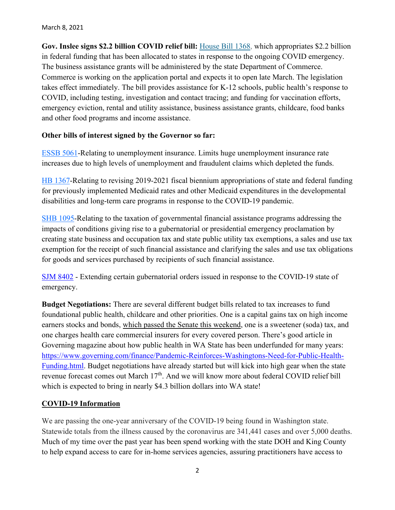**Gov. Inslee signs \$2.2 billion COVID relief bill:** [House Bill 1368,](https://gcc02.safelinks.protection.outlook.com/?url=https%3A%2F%2Flnks.gd%2Fl%2FeyJhbGciOiJIUzI1NiJ9.eyJidWxsZXRpbl9saW5rX2lkIjoxMDAsInVyaSI6ImJwMjpjbGljayIsImJ1bGxldGluX2lkIjoiMjAyMTAyMTkuMzU1Nzk4MjEiLCJ1cmwiOiJodHRwczovL2FwcC5sZWcud2EuZ292L2JpbGxzdW1tYXJ5P0JpbGxOdW1iZXI9MTM2OCZJbml0aWF0aXZlPWZhbHNlJlllYXI9MjAyMSZ1dG1fbWVkaXVtPWVtYWlsJnV0bV9zb3VyY2U9Z292ZGVsaXZlcnkifQ.CKqKDNMowhlUr22nrf98wV_Fk385ar6WNNgTtBQzCU0%2Fs%2F1120049174%2Fbr%2F98031601693-l&data=04%7C01%7Ctara.lee%40gov.wa.gov%7Cc6e4dadce993422de56b08d8d520774d%7C11d0e217264e400a8ba057dcc127d72d%7C0%7C0%7C637493682705317591%7CUnknown%7CTWFpbGZsb3d8eyJWIjoiMC4wLjAwMDAiLCJQIjoiV2luMzIiLCJBTiI6Ik1haWwiLCJXVCI6Mn0%3D%7C1000&sdata=9zGdqC5Q7N%2FOx9f1KexdO4JZkA5XePzGzhpcBSiQ9DE%3D&reserved=0) which appropriates \$2.2 billion in federal funding that has been allocated to states in response to the ongoing COVID emergency. The business assistance grants will be administered by the state Department of Commerce. Commerce is working on the application portal and expects it to open late March. The legislation takes effect immediately. The bill provides assistance for K-12 schools, public health's response to COVID, including testing, investigation and contact tracing; and funding for vaccination efforts, emergency eviction, rental and utility assistance, business assistance grants, childcare, food banks and other food programs and income assistance.

## **Other bills of interest signed by the Governor so far:**

[ESSB](https://app.leg.wa.gov/billsummary?BillNumber=5061&Year=2021) 5061-Relating to unemployment insurance. Limits huge unemployment insurance rate increases due to high levels of unemployment and fraudulent claims which depleted the funds.

HB [1367-](https://app.leg.wa.gov/billsummary?BillNumber=1367&Year=2021)Relating to revising 2019-2021 fiscal biennium appropriations of state and federal funding for previously implemented Medicaid rates and other Medicaid expenditures in the developmental disabilities and long-term care programs in response to the COVID-19 pandemic.

SHB [1095-](https://app.leg.wa.gov/billsummary?BillNumber=1095&Year=2021)Relating to the taxation of governmental financial assistance programs addressing the impacts of conditions giving rise to a gubernatorial or presidential emergency proclamation by creating state business and occupation tax and state public utility tax exemptions, a sales and use tax exemption for the receipt of such financial assistance and clarifying the sales and use tax obligations for goods and services purchased by recipients of such financial assistance.

[SJM 8402](https://app.leg.wa.gov/billsummary/?BillNumber=8402&Year=2021&Initiative=false) - Extending certain gubernatorial orders issued in response to the COVID-19 state of emergency.

**Budget Negotiations:** There are several different budget bills related to tax increases to fund foundational public health, childcare and other priorities. One is a capital gains tax on high income earners stocks and bonds, which passed the Senate this weekend, one is a sweetener (soda) tax, and one charges health care commercial insurers for every covered person. There's good article in Governing magazine about how public health in WA State has been underfunded for many years: [https://www.governing.com/finance/Pandemic-Reinforces-Washingtons-Need-for-Public-Health-](https://www.governing.com/finance/Pandemic-Reinforces-Washingtons-Need-for-Public-Health-Funding.html)[Funding.html.](https://www.governing.com/finance/Pandemic-Reinforces-Washingtons-Need-for-Public-Health-Funding.html) Budget negotiations have already started but will kick into high gear when the state revenue forecast comes out March 17<sup>th</sup>. And we will know more about federal COVID relief bill which is expected to bring in nearly \$4.3 billion dollars into WA state!

# **COVID-19 Information**

We are passing the one-year anniversary of the COVID-19 being found in Washington state. Statewide totals from the illness caused by the coronavirus are 341,441 cases and over 5,000 deaths. Much of my time over the past year has been spend working with the state DOH and King County to help expand access to care for in-home services agencies, assuring practitioners have access to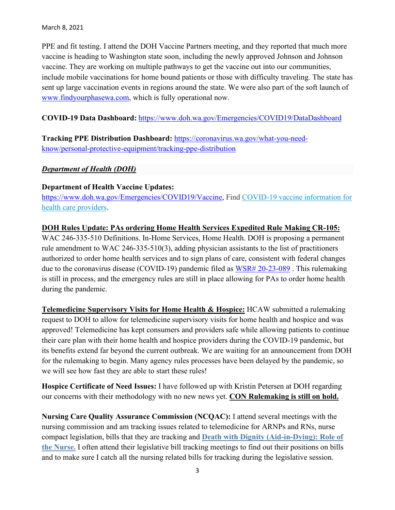PPE and fit testing. I attend the DOH Vaccine Partners meeting, and they reported that much more vaccine is heading to Washington state soon, including the newly approved Johnson and Johnson vaccine. They are working on multiple pathways to get the vaccine out into our communities, include mobile vaccinations for home bound patients or those with difficulty traveling. The state has sent up large vaccination events in regions around the state. We were also part of the soft launch of [www.findyourphasewa.com,](http://www.findyourphasewa.com/) which is fully operational now.

**COVID-19 Data Dashboard:** <https://www.doh.wa.gov/Emergencies/COVID19/DataDashboard>

**Tracking PPE Distribution Dashboard:** [https://coronavirus.wa.gov/what-you-need](https://coronavirus.wa.gov/what-you-need-know/personal-protective-equipment/tracking-ppe-distribution)[know/personal-protective-equipment/tracking-ppe-distribution](https://coronavirus.wa.gov/what-you-need-know/personal-protective-equipment/tracking-ppe-distribution)

## *Department of Health (DOH)*

## **Department of Health Vaccine Updates:**

[https://www.doh.wa.gov/Emergencies/COVID19/Vaccine,](https://www.doh.wa.gov/Emergencies/COVID19/Vaccine) Find [COVID-19 vaccine information for](https://www.doh.wa.gov/Emergencies/COVID19/HealthcareProviders/VaccineInformationforHealthcareProviders)  [health care providers.](https://www.doh.wa.gov/Emergencies/COVID19/HealthcareProviders/VaccineInformationforHealthcareProviders)

## **DOH Rules Update: PAs ordering Home Health Services Expedited Rule Making CR-105:**

WAC 246-335-510 Definitions. In-Home Services, Home Health. DOH is proposing a permanent rule amendment to WAC 246-335-510(3), adding physician assistants to the list of practitioners authorized to order home health services and to sign plans of care, consistent with federal changes due to the coronavirus disease (COVID-19) pandemic filed as [WSR# 20-23-089](https://lnks.gd/l/eyJhbGciOiJIUzI1NiJ9.eyJidWxsZXRpbl9saW5rX2lkIjoxMDIsInVyaSI6ImJwMjpjbGljayIsImJ1bGxldGluX2lkIjoiMjAyMDExMjEuMzA4OTM3NjEiLCJ1cmwiOiJodHRwczovL3d3dy5kb2gud2EuZ292L1BvcnRhbHMvMS9Eb2N1bWVudHMvMTEwMC8yMDIzL0NPVklEMTlfV1NSMjAyMzA4OUluaG9tZXNlcnZpY2VzZGVmaW5pdGlvbnNIU1FBZmluYWwtMjAyMDExMTgucGRmIn0.qlRgUHyYgBo2Nm3ZJtBCbC7yibimDOwNVoZ4YEBWBUs/s/717258116/br/90200593871-l). This rulemaking is still in process, and the emergency rules are still in place allowing for PAs to order home health during the pandemic.

**Telemedicine Supervisory Visits for Home Health & Hospice:** HCAW submitted a rulemaking request to DOH to allow for telemedicine supervisory visits for home health and hospice and was approved! Telemedicine has kept consumers and providers safe while allowing patients to continue their care plan with their home health and hospice providers during the COVID-19 pandemic, but its benefits extend far beyond the current outbreak. We are waiting for an announcement from DOH for the rulemaking to begin. Many agency rules processes have been delayed by the pandemic, so we will see how fast they are able to start these rules!

**Hospice Certificate of Need Issues:** I have followed up with Kristin Petersen at DOH regarding our concerns with their methodology with no new news yet. **CON Rulemaking is still on hold.**

**Nursing Care Quality Assurance Commission (NCQAC):** I attend several meetings with the nursing commission and am tracking issues related to telemedicine for ARNPs and RNs, nurse compact legislation, bills that they are tracking and **[Death with Dignity \(Aid-in-Dying\): Role of](https://lnks.gd/l/eyJhbGciOiJIUzI1NiJ9.eyJidWxsZXRpbl9saW5rX2lkIjoxMDAsInVyaSI6ImJwMjpjbGljayIsImJ1bGxldGluX2lkIjoiMjAyMDEyMTkuMzIyNzQxNzEiLCJ1cmwiOiJodHRwczovL2djYzAyLnNhZmVsaW5rcy5wcm90ZWN0aW9uLm91dGxvb2suY29tLz91cmw9aHR0cHMlM0ElMkYlMkZ3d3cuZG9oLndhLmdvdiUyRlBvcnRhbHMlMkYxJTJGRG9jdW1lbnRzJTJGNjAwMCUyRk5DQU8yMC5wZGYmZGF0YT0wNCU3QzAxJTdDamFuZWxsLnNwYXJrcyU0MGRvaC53YS5nb3YlN0NiYzIxZmVmYmVjMzM0YjcyMDYyZTA4ZDhhM2EzNmQzMSU3QzExZDBlMjE3MjY0ZTQwMGE4YmEwNTdkY2MxMjdkNzJkJTdDMCU3QzAlN0M2Mzc0MzkyNjk1ODcwMjYyNzElN0NVbmtub3duJTdDVFdGcGJHWnNiM2Q4ZXlKV0lqb2lNQzR3TGpBd01EQWlMQ0pRSWpvaVYybHVNeklpTENKQlRpSTZJazFoYVd3aUxDSlhWQ0k2TW4wJTNEJTdDMTAwMCZzZGF0YT1HZ1pHZHNLM0lMNDVCSiUyQmkzeSUyQlNSR1JWZjI2cFJEMTZpWk9RZTdGZzBkZyUzRCZyZXNlcnZlZD0wIn0.XMjOyjFlMQnsmM0rG8IIU7UP5m4cWpmuMRMXv5ndHds/s/717258116/br/92144328584-l)  [the Nurse.](https://lnks.gd/l/eyJhbGciOiJIUzI1NiJ9.eyJidWxsZXRpbl9saW5rX2lkIjoxMDAsInVyaSI6ImJwMjpjbGljayIsImJ1bGxldGluX2lkIjoiMjAyMDEyMTkuMzIyNzQxNzEiLCJ1cmwiOiJodHRwczovL2djYzAyLnNhZmVsaW5rcy5wcm90ZWN0aW9uLm91dGxvb2suY29tLz91cmw9aHR0cHMlM0ElMkYlMkZ3d3cuZG9oLndhLmdvdiUyRlBvcnRhbHMlMkYxJTJGRG9jdW1lbnRzJTJGNjAwMCUyRk5DQU8yMC5wZGYmZGF0YT0wNCU3QzAxJTdDamFuZWxsLnNwYXJrcyU0MGRvaC53YS5nb3YlN0NiYzIxZmVmYmVjMzM0YjcyMDYyZTA4ZDhhM2EzNmQzMSU3QzExZDBlMjE3MjY0ZTQwMGE4YmEwNTdkY2MxMjdkNzJkJTdDMCU3QzAlN0M2Mzc0MzkyNjk1ODcwMjYyNzElN0NVbmtub3duJTdDVFdGcGJHWnNiM2Q4ZXlKV0lqb2lNQzR3TGpBd01EQWlMQ0pRSWpvaVYybHVNeklpTENKQlRpSTZJazFoYVd3aUxDSlhWQ0k2TW4wJTNEJTdDMTAwMCZzZGF0YT1HZ1pHZHNLM0lMNDVCSiUyQmkzeSUyQlNSR1JWZjI2cFJEMTZpWk9RZTdGZzBkZyUzRCZyZXNlcnZlZD0wIn0.XMjOyjFlMQnsmM0rG8IIU7UP5m4cWpmuMRMXv5ndHds/s/717258116/br/92144328584-l)** I often attend their legislative bill tracking meetings to find out their positions on bills and to make sure I catch all the nursing related bills for tracking during the legislative session.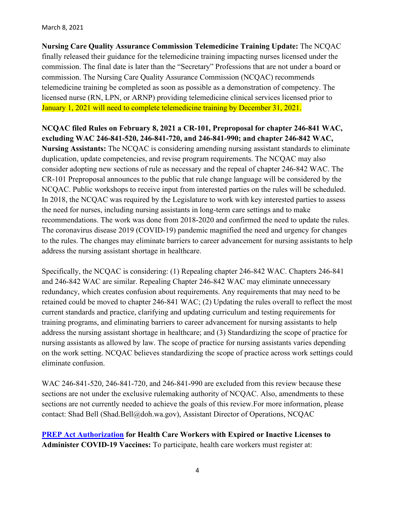#### March 8, 2021

**Nursing Care Quality Assurance Commission Telemedicine Training Update:** The NCQAC finally released their guidance for the telemedicine training impacting nurses licensed under the commission. The final date is later than the "Secretary" Professions that are not under a board or commission. The Nursing Care Quality Assurance Commission (NCQAC) recommends telemedicine training be completed as soon as possible as a demonstration of competency. The licensed nurse (RN, LPN, or ARNP) providing telemedicine clinical services licensed prior to January 1, 2021 will need to complete telemedicine training by December 31, 2021.

**NCQAC filed Rules on February 8, 2021 a CR-101, Preproposal for chapter 246-841 WAC, excluding WAC 246-841-520, 246-841-720, and 246-841-990; and chapter 246-842 WAC, Nursing Assistants:** The NCQAC is considering amending nursing assistant standards to eliminate duplication, update competencies, and revise program requirements. The NCQAC may also consider adopting new sections of rule as necessary and the repeal of chapter 246-842 WAC. The CR-101 Preproposal announces to the public that rule change language will be considered by the NCQAC. Public workshops to receive input from interested parties on the rules will be scheduled. In 2018, the NCQAC was required by the Legislature to work with key interested parties to assess the need for nurses, including nursing assistants in long-term care settings and to make recommendations. The work was done from 2018-2020 and confirmed the need to update the rules. The coronavirus disease 2019 (COVID-19) pandemic magnified the need and urgency for changes to the rules. The changes may eliminate barriers to career advancement for nursing assistants to help address the nursing assistant shortage in healthcare.

Specifically, the NCQAC is considering: (1) Repealing chapter 246-842 WAC. Chapters 246-841 and 246-842 WAC are similar. Repealing Chapter 246-842 WAC may eliminate unnecessary redundancy, which creates confusion about requirements. Any requirements that may need to be retained could be moved to chapter 246-841 WAC; (2) Updating the rules overall to reflect the most current standards and practice, clarifying and updating curriculum and testing requirements for training programs, and eliminating barriers to career advancement for nursing assistants to help address the nursing assistant shortage in healthcare; and (3) Standardizing the scope of practice for nursing assistants as allowed by law. The scope of practice for nursing assistants varies depending on the work setting. NCQAC believes standardizing the scope of practice across work settings could eliminate confusion.

WAC 246-841-520, 246-841-720, and 246-841-990 are excluded from this review because these sections are not under the exclusive rulemaking authority of NCQAC. Also, amendments to these sections are not currently needed to achieve the goals of this review.For more information, please contact: Shad Bell (Shad.Bell@doh.wa.gov), Assistant Director of Operations, NCQAC

**[PREP Act Authorization](https://www.hhs.gov/about/news/2021/01/28/hhs-amends-prep-act-declaration-increase-workforce-authorized-administer-covid-19-vaccines.html) for Health Care Workers with Expired or Inactive Licenses to Administer COVID-19 Vaccines:** To participate, health care workers must register at: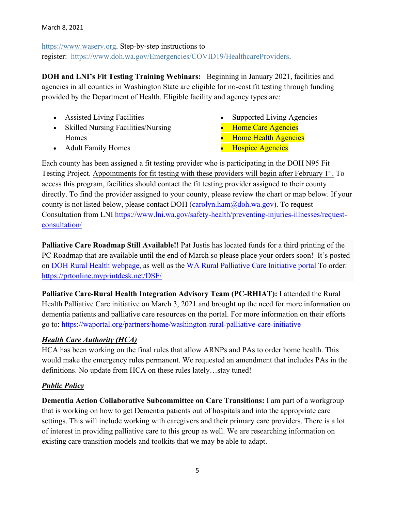[https://www.waserv.org.](https://gcc02.safelinks.protection.outlook.com/?url=https%3A%2F%2Flnks.gd%2Fl%2FeyJhbGciOiJIUzI1NiJ9.eyJidWxsZXRpbl9saW5rX2lkIjoxMDIsInVyaSI6ImJwMjpjbGljayIsImJ1bGxldGluX2lkIjoiMjAyMTAyMDEuMzQ0MTY2OTEiLCJ1cmwiOiJodHRwczovL3d3dy53YXNlcnYub3JnIn0.7CH8r7zhAvBnLcGp3Hh9syDhVnHIO-ds6s3IwPI0SCk%2Fs%2F679457645%2Fbr%2F96923686993-l&data=04%7C01%7Cjanell.sparks%40doh.wa.gov%7C1dc15b0fc25c495f380108d8c70794c1%7C11d0e217264e400a8ba057dcc127d72d%7C0%7C0%7C637478182674269301%7CUnknown%7CTWFpbGZsb3d8eyJWIjoiMC4wLjAwMDAiLCJQIjoiV2luMzIiLCJBTiI6Ik1haWwiLCJXVCI6Mn0%3D%7C1000&sdata=uWfPUi6KYo9D80Q4%2FbKthBXK1BGCoZ%2FJoo%2F3rS4wAgk%3D&reserved=0) Step-by-step instructions to register: [https://www.doh.wa.gov/Emergencies/COVID19/HealthcareProviders.](https://gcc02.safelinks.protection.outlook.com/?url=https%3A%2F%2Flnks.gd%2Fl%2FeyJhbGciOiJIUzI1NiJ9.eyJidWxsZXRpbl9saW5rX2lkIjoxMDMsInVyaSI6ImJwMjpjbGljayIsImJ1bGxldGluX2lkIjoiMjAyMTAyMDEuMzQ0MTY2OTEiLCJ1cmwiOiJodHRwczovL3d3dy5kb2gud2EuZ292L0VtZXJnZW5jaWVzL0NPVklEMTkvSGVhbHRoY2FyZVByb3ZpZGVycyJ9.aB9kzgT0bUQpow3JzhCaXn1N5BmSbopygVyx67yxmq8%2Fs%2F679457645%2Fbr%2F96923686993-l&data=04%7C01%7Cjanell.sparks%40doh.wa.gov%7C1dc15b0fc25c495f380108d8c70794c1%7C11d0e217264e400a8ba057dcc127d72d%7C0%7C0%7C637478182674269301%7CUnknown%7CTWFpbGZsb3d8eyJWIjoiMC4wLjAwMDAiLCJQIjoiV2luMzIiLCJBTiI6Ik1haWwiLCJXVCI6Mn0%3D%7C1000&sdata=Da77nzqfmy5dqTHYNlBqNU%2B0UxNQCLcLuG9KFkLJLh0%3D&reserved=0)

**DOH and LNI's Fit Testing Training Webinars:** Beginning in January 2021, facilities and agencies in all counties in Washington State are eligible for no-cost fit testing through funding provided by the Department of Health. Eligible facility and agency types are:

- Assisted Living Facilities
- Skilled Nursing Facilities/Nursing Homes
- Supported Living Agencies
- Home Care Agencies
- Home Health Agencies

• Adult Family Homes

• Hospice Agencies

Each county has been assigned a fit testing provider who is participating in the DOH N95 Fit Testing Project. Appointments for fit testing with these providers will begin after February 1<sup>st</sup>. To access this program, facilities should contact the fit testing provider assigned to their county directly. To find the provider assigned to your county, please review the chart or map below. If your county is not listed below, please contact DOH (carolyn.ham $@$ doh.wa.gov). To request Consultation from LNI [https://www.lni.wa.gov/safety-health/preventing-injuries-illnesses/request](https://lnks.gd/l/eyJhbGciOiJIUzI1NiJ9.eyJidWxsZXRpbl9saW5rX2lkIjoxMDUsInVyaSI6ImJwMjpjbGljayIsImJ1bGxldGluX2lkIjoiMjAyMTAxMjYuMzM5NzY3MzEiLCJ1cmwiOiJodHRwczovL2djYzAyLnNhZmVsaW5rcy5wcm90ZWN0aW9uLm91dGxvb2suY29tLz91cmw9aHR0cHMlM0ElMkYlMkZ3d3cubG5pLndhLmdvdiUyRnNhZmV0eS1oZWFsdGglMkZwcmV2ZW50aW5nLWluanVyaWVzLWlsbG5lc3NlcyUyRnJlcXVlc3QtY29uc3VsdGF0aW9uJTJGJmRhdGE9MDQlN0MwMSU3Q0pvaG4uSGlsZ2VyJTQwRE9ILldBLkdPViU3Q2EzMjg4Y2ZjZTQ1YzQ4ZGVhZWQxMDhkOGJmMWVmMzJmJTdDMTFkMGUyMTcyNjRlNDAwYThiYTA1N2RjYzEyN2Q3MmQlN0MwJTdDMCU3QzYzNzQ2OTQ4NjkyOTIwMzYzMyU3Q1Vua25vd24lN0NUV0ZwYkdac2IzZDhleUpXSWpvaU1DNHdMakF3TURBaUxDSlFJam9pVjJsdU16SWlMQ0pCVGlJNklrMWhhV3dpTENKWFZDSTZNbjAlM0QlN0MxMDAwJnNkYXRhPVU1MkdsQzAweXdxTzVaTEJTNHhNc3cxeVl1VmolMkZtU3ZlYnZiemp2Z0pjQSUzRCZyZXNlcnZlZD0wIn0.wts11saQokYwBXAJzkPYyPdEfhpNqlCC7zXrNGQDFx8/s/717258116/br/93623459285-l)[consultation/](https://lnks.gd/l/eyJhbGciOiJIUzI1NiJ9.eyJidWxsZXRpbl9saW5rX2lkIjoxMDUsInVyaSI6ImJwMjpjbGljayIsImJ1bGxldGluX2lkIjoiMjAyMTAxMjYuMzM5NzY3MzEiLCJ1cmwiOiJodHRwczovL2djYzAyLnNhZmVsaW5rcy5wcm90ZWN0aW9uLm91dGxvb2suY29tLz91cmw9aHR0cHMlM0ElMkYlMkZ3d3cubG5pLndhLmdvdiUyRnNhZmV0eS1oZWFsdGglMkZwcmV2ZW50aW5nLWluanVyaWVzLWlsbG5lc3NlcyUyRnJlcXVlc3QtY29uc3VsdGF0aW9uJTJGJmRhdGE9MDQlN0MwMSU3Q0pvaG4uSGlsZ2VyJTQwRE9ILldBLkdPViU3Q2EzMjg4Y2ZjZTQ1YzQ4ZGVhZWQxMDhkOGJmMWVmMzJmJTdDMTFkMGUyMTcyNjRlNDAwYThiYTA1N2RjYzEyN2Q3MmQlN0MwJTdDMCU3QzYzNzQ2OTQ4NjkyOTIwMzYzMyU3Q1Vua25vd24lN0NUV0ZwYkdac2IzZDhleUpXSWpvaU1DNHdMakF3TURBaUxDSlFJam9pVjJsdU16SWlMQ0pCVGlJNklrMWhhV3dpTENKWFZDSTZNbjAlM0QlN0MxMDAwJnNkYXRhPVU1MkdsQzAweXdxTzVaTEJTNHhNc3cxeVl1VmolMkZtU3ZlYnZiemp2Z0pjQSUzRCZyZXNlcnZlZD0wIn0.wts11saQokYwBXAJzkPYyPdEfhpNqlCC7zXrNGQDFx8/s/717258116/br/93623459285-l)

**Palliative Care Roadmap Still Available!!** Pat Justis has located funds for a third printing of the PC Roadmap that are available until the end of March so please place your orders soon! It's posted on [DOH Rural Health webpage,](https://www.doh.wa.gov/ForPublicHealthandHealthcareProviders/RuralHealth) as well as the [WA Rural Palliative Care Initiative portal T](https://waportal.org/partners/home/washington-rural-palliative-care-initiative)o order: <https://prtonline.myprintdesk.net/DSF/>

**Palliative Care-Rural Health Integration Advisory Team (PC-RHIAT):** I attended the Rural Health Palliative Care initiative on March 3, 2021 and brought up the need for more information on dementia patients and palliative care resources on the portal. For more information on their efforts go to:<https://waportal.org/partners/home/washington-rural-palliative-care-initiative>

# *Health Care Authority (HCA)*

HCA has been working on the final rules that allow ARNPs and PAs to order home health. This would make the emergency rules permanent. We requested an amendment that includes PAs in the definitions. No update from HCA on these rules lately…stay tuned!

# *Public Policy*

**Dementia Action Collaborative Subcommittee on Care Transitions:** I am part of a workgroup that is working on how to get Dementia patients out of hospitals and into the appropriate care settings. This will include working with caregivers and their primary care providers. There is a lot of interest in providing palliative care to this group as well. We are researching information on existing care transition models and toolkits that we may be able to adapt.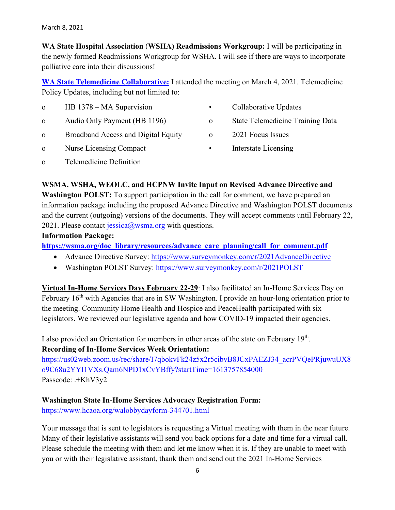**WA State Hospital Association** (**WSHA) Readmissions Workgroup:** I will be participating in the newly formed Readmissions Workgroup for WSHA. I will see if there are ways to incorporate palliative care into their discussions!

**[WA State Telemedicine Collaborative:](https://www.wsha.org/policy-advocacy/issues/telemedicine/washington-state-telemedicine-collaborative/meetings-and-minutes/)** I attended the meeting on March 4, 2021. Telemedicine Policy Updates, including but not limited to:

| $\Omega$ | HB 1378 – MA Supervision            | $\bullet$    | Collaborative Updates                   |
|----------|-------------------------------------|--------------|-----------------------------------------|
| $\Omega$ | Audio Only Payment (HB 1196)        | $\mathbf{o}$ | <b>State Telemedicine Training Data</b> |
| $\Omega$ | Broadband Access and Digital Equity | $\Omega$     | 2021 Focus Issues                       |
| $\Omega$ | Nurse Licensing Compact             | $\bullet$    | Interstate Licensing                    |
|          |                                     |              |                                         |

o Telemedicine Definition

## **WSMA, WSHA, WEOLC, and HCPNW Invite Input on Revised Advance Directive and**

**Washington POLST:** To support participation in the call for comment, we have prepared an information package including the proposed Advance Directive and Washington POLST documents and the current (outgoing) versions of the documents. They will accept comments until February 22, 2021. Please contact [jessica@wsma.org](mailto:jessica@wsma.org) with questions.

## **Information Package:**

**[https://wsma.org/doc\\_library/resources/advance\\_care\\_planning/call\\_for\\_comment.pdf](https://wsma.org/doc_library/resources/advance_care_planning/call_for_comment.pdf)**

- Advance Directive Survey:<https://www.surveymonkey.com/r/2021AdvanceDirective>
- Washington POLST Survey:<https://www.surveymonkey.com/r/2021POLST>

**Virtual In-Home Services Days February 22-29**: I also facilitated an In-Home Services Day on February 16<sup>th</sup> with Agencies that are in SW Washington. I provide an hour-long orientation prior to the meeting. Community Home Health and Hospice and PeaceHealth participated with six legislators. We reviewed our legislative agenda and how COVID-19 impacted their agencies.

I also provided an Orientation for members in other areas of the state on February 19<sup>th</sup>. **Recording of In-Home Services Week Orientation:** 

[https://us02web.zoom.us/rec/share/I7qbokvFk24z5x2r5cibvB8JCxPAEZJ34\\_acrPVQePRjuwuUX8](https://us02web.zoom.us/rec/share/I7qbokvFk24z5x2r5cibvB8JCxPAEZJ34_acrPVQePRjuwuUX8o9C68u2YYI1VXs.Qam6NPD1xCvYBffy?startTime=1613757854000) [o9C68u2YYI1VXs.Qam6NPD1xCvYBffy?startTime=1613757854000](https://us02web.zoom.us/rec/share/I7qbokvFk24z5x2r5cibvB8JCxPAEZJ34_acrPVQePRjuwuUX8o9C68u2YYI1VXs.Qam6NPD1xCvYBffy?startTime=1613757854000) Passcode: .+KhV3y2

## **Washington State In-Home Services Advocacy Registration Form:**

<https://www.hcaoa.org/walobbydayform-344701.html>

Your message that is sent to legislators is requesting a Virtual meeting with them in the near future. Many of their legislative assistants will send you back options for a date and time for a virtual call. Please schedule the meeting with them and let me know when it is. If they are unable to meet with you or with their legislative assistant, thank them and send out the 2021 In-Home Services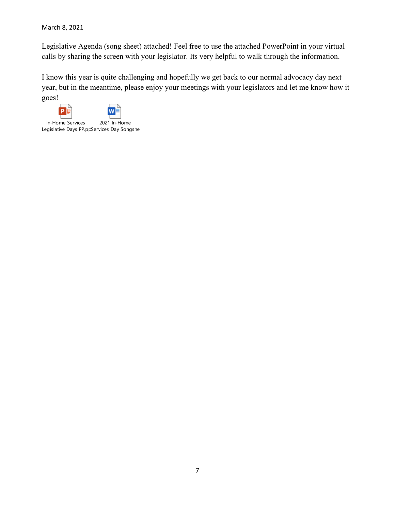March 8, 2021

Legislative Agenda (song sheet) attached! Feel free to use the attached PowerPoint in your virtual calls by sharing the screen with your legislator. Its very helpful to walk through the information.

I know this year is quite challenging and hopefully we get back to our normal advocacy day next year, but in the meantime, please enjoy your meetings with your legislators and let me know how it goes!

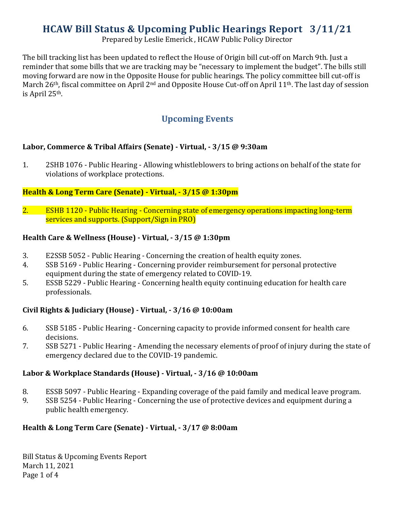# **HCAW Bill Status & Upcoming Public Hearings Report 3/11/21**

Prepared by Leslie Emerick , HCAW Public Policy Director

The bill tracking list has been updated to reflect the House of Origin bill cut-off on March 9th. Just a reminder that some bills that we are tracking may be "necessary to implement the budget". The bills still moving forward are now in the Opposite House for public hearings. The policy committee bill cut-off is March 26<sup>th</sup>, fiscal committee on April 2<sup>nd</sup> and Opposite House Cut-off on April 11<sup>th</sup>. The last day of session is April 25th.

# **Upcoming Events**

# **Labor, Commerce & Tribal Affairs (Senate) - Virtual, - 3/15 @ 9:30am**

1. 2SHB 1076 - Public Hearing - Allowing whistleblowers to bring actions on behalf of the state for violations of workplace protections.

# **Health & Long Term Care (Senate) - Virtual, - 3/15 @ 1:30pm**

2. ESHB 1120 - Public Hearing - Concerning state of emergency operations impacting long-term services and supports. (Support/Sign in PRO)

# **Health Care & Wellness (House) - Virtual, - 3/15 @ 1:30pm**

- 3. E2SSB 5052 Public Hearing Concerning the creation of health equity zones.
- 4. SSB 5169 Public Hearing Concerning provider reimbursement for personal protective equipment during the state of emergency related to COVID-19.
- 5. ESSB 5229 Public Hearing Concerning health equity continuing education for health care professionals.

# **Civil Rights & Judiciary (House) - Virtual, - 3/16 @ 10:00am**

- 6. SSB 5185 Public Hearing Concerning capacity to provide informed consent for health care decisions.
- 7. SSB 5271 Public Hearing Amending the necessary elements of proof of injury during the state of emergency declared due to the COVID-19 pandemic.

# **Labor & Workplace Standards (House) - Virtual, - 3/16 @ 10:00am**

- 8. ESSB 5097 Public Hearing Expanding coverage of the paid family and medical leave program.<br>9. SSB 5254 Public Hearing Concerning the use of protective devices and equipment during a
- SSB 5254 Public Hearing Concerning the use of protective devices and equipment during a public health emergency.

# **Health & Long Term Care (Senate) - Virtual, - 3/17 @ 8:00am**

Bill Status & Upcoming Events Report March 11, 2021 Page 1 of 4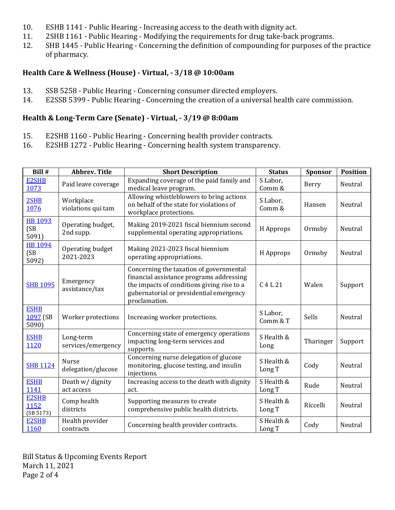- 10. ESHB 1141 Public Hearing Increasing access to the death with dignity act.<br>11. 2SHB 1161 Public Hearing Modifying the requirements for drug take-back
- 11. 2SHB 1161 Public Hearing Modifying the requirements for drug take-back programs.<br>12. SHB 1445 Public Hearing Concerning the definition of compounding for purposes of t
- SHB 1445 Public Hearing Concerning the definition of compounding for purposes of the practice of pharmacy.

# **Health Care & Wellness (House) - Virtual, - 3/18 @ 10:00am**

- 13. SSB 5258 Public Hearing Concerning consumer directed employers.<br>14. E2SSB 5399 Public Hearing Concerning the creation of a universal he
- E2SSB 5399 Public Hearing Concerning the creation of a universal health care commission.

# **Health & Long-Term Care (Senate) - Virtual, - 3/19 @ 8:00am**

- 15. E2SHB 1160 Public Hearing Concerning health provider contracts.<br>16. E2SHB 1272 Public Hearing Concerning health system transparenc
- E2SHB 1272 Public Hearing Concerning health system transparency.

| Bill #                            | <b>Abbrev. Title</b>            | <b>Short Description</b>                                                                                                                                                                      | <b>Status</b>                  | Sponsor   | <b>Position</b> |
|-----------------------------------|---------------------------------|-----------------------------------------------------------------------------------------------------------------------------------------------------------------------------------------------|--------------------------------|-----------|-----------------|
| E2SHB<br>1073                     | Paid leave coverage             | Expanding coverage of the paid family and<br>medical leave program.                                                                                                                           | S Labor,<br>Comm &             | Berry     | Neutral         |
| 2SHB<br>1076                      | Workplace<br>violations qui tam | Allowing whistleblowers to bring actions<br>on behalf of the state for violations of<br>workplace protections.                                                                                | S Labor,<br>Comm &             | Hansen    | Neutral         |
| HB 1093<br>(SB)<br>5091)          | Operating budget,<br>2nd supp.  | Making 2019-2021 fiscal biennium second<br>supplemental operating appropriations.                                                                                                             | H Approps                      | Ormsby    | Neutral         |
| <b>HB 1094</b><br>(SB<br>5092)    | Operating budget<br>2021-2023   | Making 2021-2023 fiscal biennium<br>operating appropriations.                                                                                                                                 | H Approps                      | Ormsby    | Neutral         |
| <b>SHB 1095</b>                   | Emergency<br>assistance/tax     | Concerning the taxation of governmental<br>financial assistance programs addressing<br>the impacts of conditions giving rise to a<br>gubernatorial or presidential emergency<br>proclamation. | C <sub>4</sub> L <sub>21</sub> | Walen     | Support         |
| <b>ESHB</b><br>1097 (SB<br>5090)  | Worker protections              | Increasing worker protections.                                                                                                                                                                | S Labor,<br>Comm & T           | Sells     | Neutral         |
| <b>ESHB</b><br>1120               | Long-term<br>services/emergency | Concerning state of emergency operations<br>impacting long-term services and<br>supports.                                                                                                     | S Health &<br>Long             | Tharinger | Support         |
| <b>SHB 1124</b>                   | Nurse<br>delegation/glucose     | Concerning nurse delegation of glucose<br>monitoring, glucose testing, and insulin<br>injections.                                                                                             | S Health &<br>Long T           | Cody      | Neutral         |
| <b>ESHB</b><br>1141               | Death w/ dignity<br>act access  | Increasing access to the death with dignity<br>act.                                                                                                                                           | S Health &<br>Long T           | Rude      | Neutral         |
| <b>E2SHB</b><br>1152<br>(SB 5173) | Comp health<br>districts        | Supporting measures to create<br>comprehensive public health districts.                                                                                                                       | S Health &<br>Long T           | Riccelli  | Neutral         |
| <b>E2SHB</b><br>1160              | Health provider<br>contracts    | Concerning health provider contracts.                                                                                                                                                         | S Health &<br>Long T           | Cody      | Neutral         |

Bill Status & Upcoming Events Report March 11, 2021 Page 2 of 4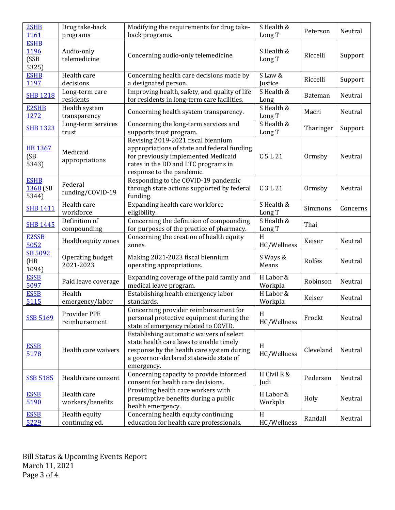| 2SHB<br>1161                         | Drug take-back<br>programs      | Modifying the requirements for drug take-<br>back programs.                                                                                                                                  | S Health &<br>Long T           | Peterson       | Neutral  |
|--------------------------------------|---------------------------------|----------------------------------------------------------------------------------------------------------------------------------------------------------------------------------------------|--------------------------------|----------------|----------|
| <b>ESHB</b><br>1196<br>(SSB<br>5325) | Audio-only<br>telemedicine      | Concerning audio-only telemedicine.                                                                                                                                                          | S Health &<br>Long T           | Riccelli       | Support  |
| <b>ESHB</b><br>1197                  | Health care<br>decisions        | Concerning health care decisions made by<br>a designated person.                                                                                                                             | S Law &<br>Justice             | Riccelli       | Support  |
| <b>SHB 1218</b>                      | Long-term care<br>residents     | Improving health, safety, and quality of life<br>for residents in long-term care facilities.                                                                                                 | S Health &<br>Long             | <b>Bateman</b> | Neutral  |
| <b>E2SHB</b><br>1272                 | Health system<br>transparency   | Concerning health system transparency.                                                                                                                                                       | S Health &<br>Long T           | Macri          | Neutral  |
| <b>SHB 1323</b>                      | Long-term services<br>trust     | Concerning the long-term services and<br>supports trust program.                                                                                                                             | S Health &<br>Long T           | Tharinger      | Support  |
| <b>HB 1367</b><br>(SB)<br>5343)      | Medicaid<br>appropriations      | Revising 2019-2021 fiscal biennium<br>appropriations of state and federal funding<br>for previously implemented Medicaid<br>rates in the DD and LTC programs in<br>response to the pandemic. | C <sub>5</sub> L <sub>21</sub> | Ormsby         | Neutral  |
| <b>ESHB</b><br>1368 (SB<br>5344)     | Federal<br>funding/COVID-19     | Responding to the COVID-19 pandemic<br>through state actions supported by federal<br>funding.                                                                                                | C 3 L 21                       | Ormsby         | Neutral  |
| <b>SHB 1411</b>                      | Health care<br>workforce        | Expanding health care workforce<br>eligibility.                                                                                                                                              | S Health &<br>Long T           | Simmons        | Concerns |
| <b>SHB 1445</b>                      | Definition of<br>compounding    | Concerning the definition of compounding<br>for purposes of the practice of pharmacy.                                                                                                        | S Health &<br>Long T           | Thai           |          |
| E2SSB<br>5052                        | Health equity zones             | Concerning the creation of health equity<br>zones.                                                                                                                                           | H<br>HC/Wellness               | Keiser         | Neutral  |
| SB 5092<br>(HB)<br>1094)             | Operating budget<br>2021-2023   | Making 2021-2023 fiscal biennium<br>operating appropriations.                                                                                                                                | S Ways &<br>Means              | Rolfes         | Neutral  |
| <b>ESSB</b><br>5097                  | Paid leave coverage             | Expanding coverage of the paid family and<br>medical leave program.                                                                                                                          | H Labor &<br>Workpla           | Robinson       | Neutral  |
| <b>ESSB</b><br>5115                  | Health<br>emergency/labor       | Establishing health emergency labor<br>standards.                                                                                                                                            | H Labor &<br>Workpla           | Keiser         | Neutral  |
| <b>SSB 5169</b>                      | Provider PPE<br>reimbursement   | Concerning provider reimbursement for<br>personal protective equipment during the<br>state of emergency related to COVID.                                                                    | H<br>HC/Wellness               | Frockt         | Neutral  |
| <b>ESSB</b><br>5178                  | Health care waivers             | Establishing automatic waivers of select<br>state health care laws to enable timely<br>response by the health care system during<br>a governor-declared statewide state of<br>emergency.     | H<br>HC/Wellness               | Cleveland      | Neutral  |
| <b>SSB 5185</b>                      | Health care consent             | Concerning capacity to provide informed<br>consent for health care decisions.                                                                                                                | H Civil R &<br>Judi            | Pedersen       | Neutral  |
| <b>ESSB</b><br>5190                  | Health care<br>workers/benefits | Providing health care workers with<br>presumptive benefits during a public<br>health emergency.                                                                                              | H Labor &<br>Workpla           | Holy           | Neutral  |
| <b>ESSB</b><br>5229                  | Health equity<br>continuing ed. | Concerning health equity continuing<br>education for health care professionals.                                                                                                              | H<br>HC/Wellness               | Randall        | Neutral  |

Bill Status & Upcoming Events Report March 11, 2021 Page 3 of 4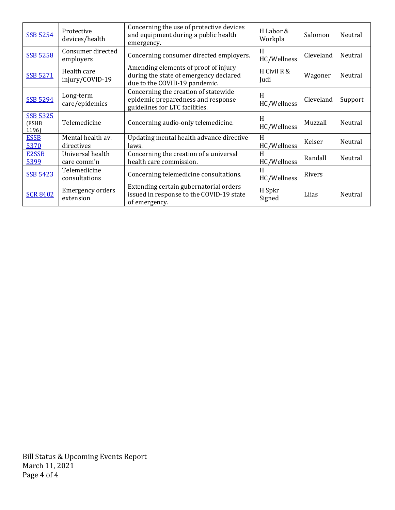| <b>SSB 5254</b>                   | Protective<br>devices/health         | Concerning the use of protective devices<br>and equipment during a public health<br>emergency.                  | H Labor &<br>Workpla | Salomon   | Neutral |
|-----------------------------------|--------------------------------------|-----------------------------------------------------------------------------------------------------------------|----------------------|-----------|---------|
| <b>SSB 5258</b>                   | Consumer directed<br>employers       | Concerning consumer directed employers.                                                                         | H<br>HC/Wellness     | Cleveland | Neutral |
| <b>SSB 5271</b>                   | Health care<br>injury/COVID-19       | Amending elements of proof of injury<br>during the state of emergency declared<br>due to the COVID-19 pandemic. | H Civil R &<br>Judi  | Wagoner   | Neutral |
| <b>SSB 5294</b>                   | Long-term<br>care/epidemics          | Concerning the creation of statewide<br>epidemic preparedness and response<br>guidelines for LTC facilities.    | H<br>HC/Wellness     | Cleveland | Support |
| <b>SSB 5325</b><br>(ESHB<br>1196) | Telemedicine                         | Concerning audio-only telemedicine.                                                                             | H<br>HC/Wellness     | Muzzall   | Neutral |
| <b>ESSB</b><br>5370               | Mental health av.<br>directives      | Updating mental health advance directive<br>laws.                                                               | H<br>HC/Wellness     | Keiser    | Neutral |
| E2SSB<br>5399                     | Universal health<br>care comm'n      | Concerning the creation of a universal<br>health care commission.                                               | H<br>HC/Wellness     | Randall   | Neutral |
| <b>SSB 5423</b>                   | Telemedicine<br>consultations        | Concerning telemedicine consultations.                                                                          | H<br>HC/Wellness     | Rivers    |         |
| <b>SCR 8402</b>                   | <b>Emergency orders</b><br>extension | Extending certain gubernatorial orders<br>issued in response to the COVID-19 state<br>of emergency.             | H Spkr<br>Signed     | Lijas     | Neutral |

Bill Status & Upcoming Events Report March 11, 2021 Page 4 of 4